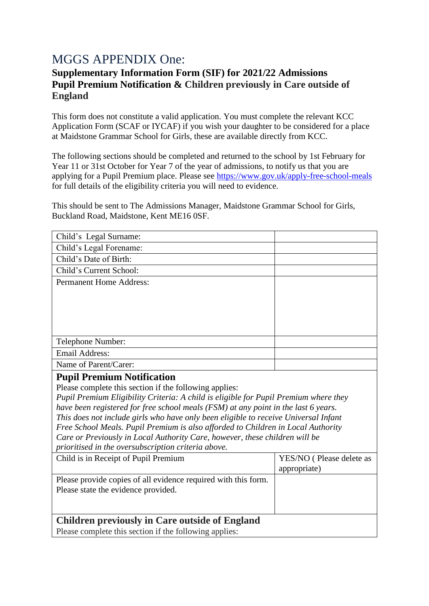## MGGS APPENDIX One:

## **Supplementary Information Form (SIF) for 2021/22 Admissions Pupil Premium Notification & Children previously in Care outside of England**

This form does not constitute a valid application. You must complete the relevant KCC Application Form (SCAF or IYCAF) if you wish your daughter to be considered for a place at Maidstone Grammar School for Girls, these are available directly from KCC.

The following sections should be completed and returned to the school by 1st February for Year 11 or 31st October for Year 7 of the year of admissions, to notify us that you are applying for a Pupil Premium place. Please see<https://www.gov.uk/apply-free-school-meals> for full details of the eligibility criteria you will need to evidence.

This should be sent to The Admissions Manager, Maidstone Grammar School for Girls, Buckland Road, Maidstone, Kent ME16 0SF.

| Child's Legal Surname:                                                               |                          |
|--------------------------------------------------------------------------------------|--------------------------|
| Child's Legal Forename:                                                              |                          |
| Child's Date of Birth:                                                               |                          |
| Child's Current School:                                                              |                          |
| <b>Permanent Home Address:</b>                                                       |                          |
|                                                                                      |                          |
|                                                                                      |                          |
|                                                                                      |                          |
|                                                                                      |                          |
| Telephone Number:                                                                    |                          |
| <b>Email Address:</b>                                                                |                          |
| Name of Parent/Carer:                                                                |                          |
| <b>Pupil Premium Notification</b>                                                    |                          |
| Please complete this section if the following applies:                               |                          |
| Pupil Premium Eligibility Criteria: A child is eligible for Pupil Premium where they |                          |
| have been registered for free school meals (FSM) at any point in the last 6 years.   |                          |
| This does not include girls who have only been eligible to receive Universal Infant  |                          |
| Free School Meals. Pupil Premium is also afforded to Children in Local Authority     |                          |
| Care or Previously in Local Authority Care, however, these children will be          |                          |
| prioritised in the oversubscription criteria above.                                  |                          |
| Child is in Receipt of Pupil Premium                                                 | YES/NO (Please delete as |
|                                                                                      | appropriate)             |
| Please provide copies of all evidence required with this form.                       |                          |
| Please state the evidence provided.                                                  |                          |
|                                                                                      |                          |
|                                                                                      |                          |

## **Children previously in Care outside of England**

Please complete this section if the following applies: